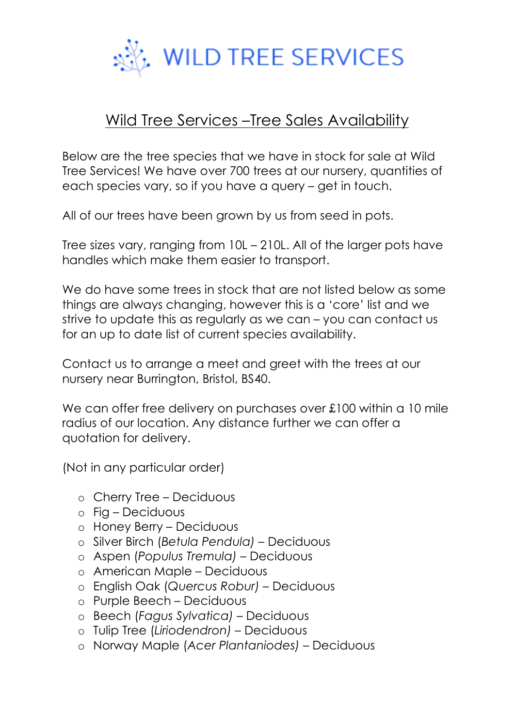

## Wild Tree Services –Tree Sales Availability

Below are the tree species that we have in stock for sale at Wild Tree Services! We have over 700 trees at our nursery, quantities of each species vary, so if you have a query – get in touch.

All of our trees have been grown by us from seed in pots.

Tree sizes vary, ranging from 10L – 210L. All of the larger pots have handles which make them easier to transport.

We do have some trees in stock that are not listed below as some things are always changing, however this is a 'core' list and we strive to update this as regularly as we can – you can contact us for an up to date list of current species availability.

Contact us to arrange a meet and greet with the trees at our nursery near Burrington, Bristol, BS40.

We can offer free delivery on purchases over £100 within a 10 mile radius of our location. Any distance further we can offer a quotation for delivery.

(Not in any particular order)

- o Cherry Tree Deciduous
- o Fig Deciduous
- o Honey Berry Deciduous
- o Silver Birch (*Betula Pendula)*  Deciduous
- o Aspen (*Populus Tremula)*  Deciduous
- o American Maple Deciduous
- o English Oak (*Quercus Robur)*  Deciduous
- o Purple Beech Deciduous
- o Beech (*Fagus Sylvatica) –* Deciduous
- o Tulip Tree (*Liriodendron)* Deciduous
- o Norway Maple (*Acer Plantaniodes)* Deciduous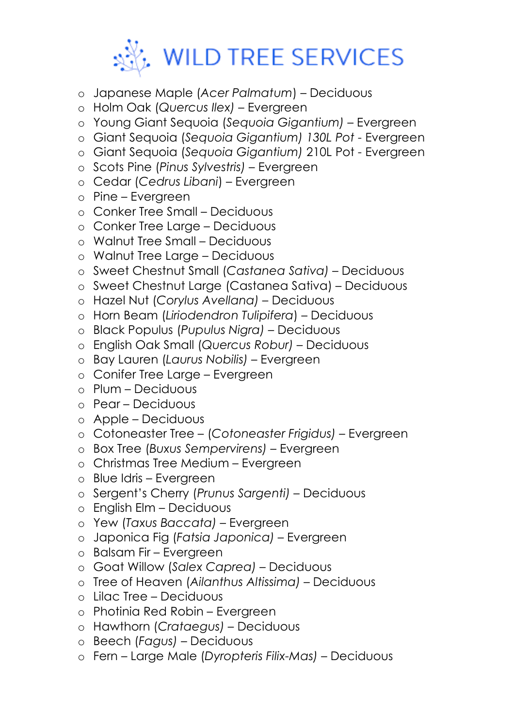

- o Japanese Maple (*Acer Palmatum*) Deciduous
- o Holm Oak (*Quercus Ilex) –* Evergreen
- o Young Giant Sequoia (*Sequoia Gigantium)* Evergreen
- o Giant Sequoia (*Sequoia Gigantium) 130L Pot* Evergreen
- o Giant Sequoia (*Sequoia Gigantium)* 210L Pot Evergreen
- o Scots Pine (*Pinus Sylvestris)* Evergreen
- o Cedar (*Cedrus Libani*) Evergreen
- o Pine Evergreen
- o Conker Tree Small Deciduous
- o Conker Tree Large Deciduous
- o Walnut Tree Small Deciduous
- o Walnut Tree Large Deciduous
- o Sweet Chestnut Small (*Castanea Sativa)*  Deciduous
- o Sweet Chestnut Large (Castanea Sativa) Deciduous
- o Hazel Nut (*Corylus Avellana) –* Deciduous
- o Horn Beam (*Liriodendron Tulipifera*) Deciduous
- o Black Populus (*Pupulus Nigra)*  Deciduous
- o English Oak Small (*Quercus Robur)*  Deciduous
- o Bay Lauren (*Laurus Nobilis) –* Evergreen
- o Conifer Tree Large Evergreen
- o Plum Deciduous
- o Pear Deciduous
- o Apple Deciduous
- o Cotoneaster Tree (*Cotoneaster Frigidus)* Evergreen
- o Box Tree (*Buxus Sempervirens)* Evergreen
- o Christmas Tree Medium Evergreen
- o Blue Idris Evergreen
- o Sergent's Cherry (*Prunus Sargenti)* Deciduous
- o English Elm Deciduous
- o Yew (*Taxus Baccata)* Evergreen
- o Japonica Fig (*Fatsia Japonica)* Evergreen
- o Balsam Fir Evergreen
- o Goat Willow (*Salex Caprea) –* Deciduous
- o Tree of Heaven (*Ailanthus Altissima)* Deciduous
- o Lilac Tree Deciduous
- o Photinia Red Robin Evergreen
- o Hawthorn (*Crataegus) –* Deciduous
- o Beech (*Fagus)* Deciduous
- o Fern Large Male (*Dyropteris Filix-Mas) –* Deciduous